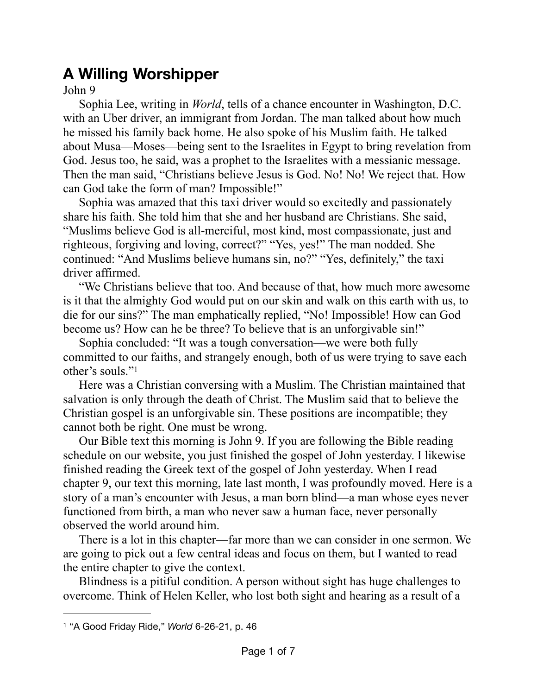## **A Willing Worshipper**

John 9

Sophia Lee, writing in *World*, tells of a chance encounter in Washington, D.C. with an Uber driver, an immigrant from Jordan. The man talked about how much he missed his family back home. He also spoke of his Muslim faith. He talked about Musa—Moses—being sent to the Israelites in Egypt to bring revelation from God. Jesus too, he said, was a prophet to the Israelites with a messianic message. Then the man said, "Christians believe Jesus is God. No! No! We reject that. How can God take the form of man? Impossible!"

Sophia was amazed that this taxi driver would so excitedly and passionately share his faith. She told him that she and her husband are Christians. She said, "Muslims believe God is all-merciful, most kind, most compassionate, just and righteous, forgiving and loving, correct?" "Yes, yes!" The man nodded. She continued: "And Muslims believe humans sin, no?" "Yes, definitely," the taxi driver affirmed.

"We Christians believe that too. And because of that, how much more awesome is it that the almighty God would put on our skin and walk on this earth with us, to die for our sins?" The man emphatically replied, "No! Impossible! How can God become us? How can he be three? To believe that is an unforgivable sin!"

Sophia concluded: "It was a tough conversation—we were both fully committed to our faiths, and strangely enough, both of us were trying to save each other's souls."[1](#page-0-0)

<span id="page-0-1"></span>Here was a Christian conversing with a Muslim. The Christian maintained that salvation is only through the death of Christ. The Muslim said that to believe the Christian gospel is an unforgivable sin. These positions are incompatible; they cannot both be right. One must be wrong.

Our Bible text this morning is John 9. If you are following the Bible reading schedule on our website, you just finished the gospel of John yesterday. I likewise finished reading the Greek text of the gospel of John yesterday. When I read chapter 9, our text this morning, late last month, I was profoundly moved. Here is a story of a man's encounter with Jesus, a man born blind—a man whose eyes never functioned from birth, a man who never saw a human face, never personally observed the world around him.

There is a lot in this chapter—far more than we can consider in one sermon. We are going to pick out a few central ideas and focus on them, but I wanted to read the entire chapter to give the context.

Blindness is a pitiful condition. A person without sight has huge challenges to overcome. Think of Helen Keller, who lost both sight and hearing as a result of a

<span id="page-0-0"></span>[<sup>1</sup>](#page-0-1) "A Good Friday Ride," *World* 6-26-21, p. 46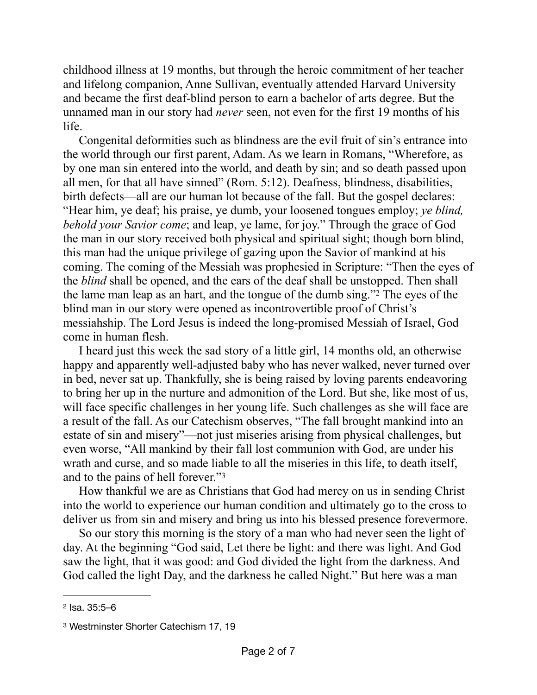childhood illness at 19 months, but through the heroic commitment of her teacher and lifelong companion, Anne Sullivan, eventually attended Harvard University and became the first deaf-blind person to earn a bachelor of arts degree. But the unnamed man in our story had *never* seen, not even for the first 19 months of his life.

Congenital deformities such as blindness are the evil fruit of sin's entrance into the world through our first parent, Adam. As we learn in Romans, "Wherefore, as by one man sin entered into the world, and death by sin; and so death passed upon all men, for that all have sinned" (Rom. 5:12). Deafness, blindness, disabilities, birth defects—all are our human lot because of the fall. But the gospel declares: "Hear him, ye deaf; his praise, ye dumb, your loosened tongues employ; *ye blind, behold your Savior come*; and leap, ye lame, for joy." Through the grace of God the man in our story received both physical and spiritual sight; though born blind, this man had the unique privilege of gazing upon the Savior of mankind at his coming. The coming of the Messiah was prophesied in Scripture: "Then the eyes of the *blind* shall be opened, and the ears of the deaf shall be unstopped. Then shall the lame man leap as an hart, and the tongue of the dumb sing.["](#page-1-0)<sup>[2](#page-1-0)</sup> The eyes of the blind man in our story were opened as incontrovertible proof of Christ's messiahship. The Lord Jesus is indeed the long-promised Messiah of Israel, God come in human flesh.

<span id="page-1-2"></span>I heard just this week the sad story of a little girl, 14 months old, an otherwise happy and apparently well-adjusted baby who has never walked, never turned over in bed, never sat up. Thankfully, she is being raised by loving parents endeavoring to bring her up in the nurture and admonition of the Lord. But she, like most of us, will face specific challenges in her young life. Such challenges as she will face are a result of the fall. As our Catechism observes, "The fall brought mankind into an estate of sin and misery"—not just miseries arising from physical challenges, but even worse, "All mankind by their fall lost communion with God, are under his wrath and curse, and so made liable to all the miseries in this life, to death itself, and to the pains of hell forever."[3](#page-1-1)

<span id="page-1-3"></span>How thankful we are as Christians that God had mercy on us in sending Christ into the world to experience our human condition and ultimately go to the cross to deliver us from sin and misery and bring us into his blessed presence forevermore.

So our story this morning is the story of a man who had never seen the light of day. At the beginning "God said, Let there be light: and there was light. And God saw the light, that it was good: and God divided the light from the darkness. And God called the light Day, and the darkness he called Night." But here was a man

<span id="page-1-0"></span>[<sup>2</sup>](#page-1-2) Isa. 35:5–6

<span id="page-1-1"></span>[<sup>3</sup>](#page-1-3) Westminster Shorter Catechism 17, 19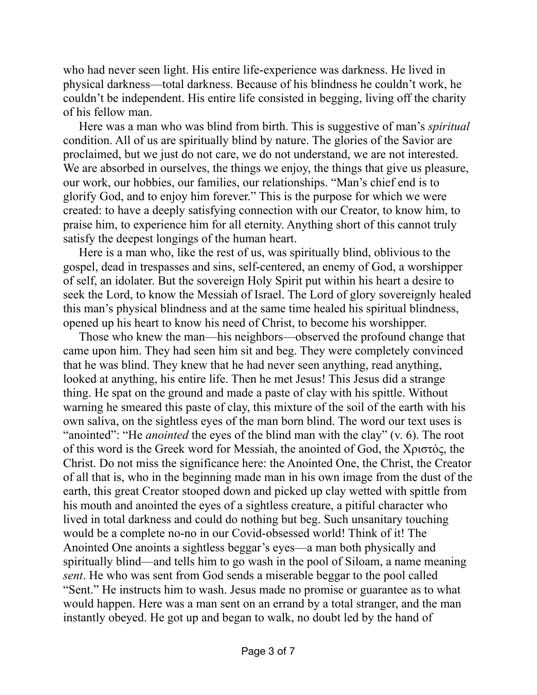who had never seen light. His entire life-experience was darkness. He lived in physical darkness—total darkness. Because of his blindness he couldn't work, he couldn't be independent. His entire life consisted in begging, living off the charity of his fellow man.

Here was a man who was blind from birth. This is suggestive of man's *spiritual* condition. All of us are spiritually blind by nature. The glories of the Savior are proclaimed, but we just do not care, we do not understand, we are not interested. We are absorbed in ourselves, the things we enjoy, the things that give us pleasure, our work, our hobbies, our families, our relationships. "Man's chief end is to glorify God, and to enjoy him forever." This is the purpose for which we were created: to have a deeply satisfying connection with our Creator, to know him, to praise him, to experience him for all eternity. Anything short of this cannot truly satisfy the deepest longings of the human heart.

Here is a man who, like the rest of us, was spiritually blind, oblivious to the gospel, dead in trespasses and sins, self-centered, an enemy of God, a worshipper of self, an idolater. But the sovereign Holy Spirit put within his heart a desire to seek the Lord, to know the Messiah of Israel. The Lord of glory sovereignly healed this man's physical blindness and at the same time healed his spiritual blindness, opened up his heart to know his need of Christ, to become his worshipper.

Those who knew the man—his neighbors—observed the profound change that came upon him. They had seen him sit and beg. They were completely convinced that he was blind. They knew that he had never seen anything, read anything, looked at anything, his entire life. Then he met Jesus! This Jesus did a strange thing. He spat on the ground and made a paste of clay with his spittle. Without warning he smeared this paste of clay, this mixture of the soil of the earth with his own saliva, on the sightless eyes of the man born blind. The word our text uses is "anointed": "He *anointed* the eyes of the blind man with the clay" (v. 6). The root of this word is the Greek word for Messiah, the anointed of God, the Χριστός, the Christ. Do not miss the significance here: the Anointed One, the Christ, the Creator of all that is, who in the beginning made man in his own image from the dust of the earth, this great Creator stooped down and picked up clay wetted with spittle from his mouth and anointed the eyes of a sightless creature, a pitiful character who lived in total darkness and could do nothing but beg. Such unsanitary touching would be a complete no-no in our Covid-obsessed world! Think of it! The Anointed One anoints a sightless beggar's eyes—a man both physically and spiritually blind—and tells him to go wash in the pool of Siloam, a name meaning *sent*. He who was sent from God sends a miserable beggar to the pool called "Sent." He instructs him to wash. Jesus made no promise or guarantee as to what would happen. Here was a man sent on an errand by a total stranger, and the man instantly obeyed. He got up and began to walk, no doubt led by the hand of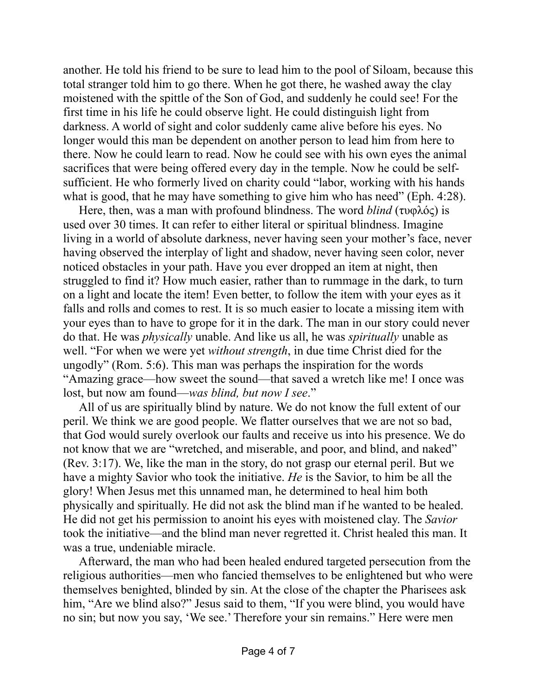another. He told his friend to be sure to lead him to the pool of Siloam, because this total stranger told him to go there. When he got there, he washed away the clay moistened with the spittle of the Son of God, and suddenly he could see! For the first time in his life he could observe light. He could distinguish light from darkness. A world of sight and color suddenly came alive before his eyes. No longer would this man be dependent on another person to lead him from here to there. Now he could learn to read. Now he could see with his own eyes the animal sacrifices that were being offered every day in the temple. Now he could be selfsufficient. He who formerly lived on charity could "labor, working with his hands what is good, that he may have something to give him who has need" (Eph. 4:28).

Here, then, was a man with profound blindness. The word *blind* (τυφλός) is used over 30 times. It can refer to either literal or spiritual blindness. Imagine living in a world of absolute darkness, never having seen your mother's face, never having observed the interplay of light and shadow, never having seen color, never noticed obstacles in your path. Have you ever dropped an item at night, then struggled to find it? How much easier, rather than to rummage in the dark, to turn on a light and locate the item! Even better, to follow the item with your eyes as it falls and rolls and comes to rest. It is so much easier to locate a missing item with your eyes than to have to grope for it in the dark. The man in our story could never do that. He was *physically* unable. And like us all, he was *spiritually* unable as well. "For when we were yet *without strength*, in due time Christ died for the ungodly" (Rom. 5:6). This man was perhaps the inspiration for the words "Amazing grace—how sweet the sound—that saved a wretch like me! I once was lost, but now am found—*was blind, but now I see*."

All of us are spiritually blind by nature. We do not know the full extent of our peril. We think we are good people. We flatter ourselves that we are not so bad, that God would surely overlook our faults and receive us into his presence. We do not know that we are "wretched, and miserable, and poor, and blind, and naked" (Rev. 3:17). We, like the man in the story, do not grasp our eternal peril. But we have a mighty Savior who took the initiative. *He* is the Savior, to him be all the glory! When Jesus met this unnamed man, he determined to heal him both physically and spiritually. He did not ask the blind man if he wanted to be healed. He did not get his permission to anoint his eyes with moistened clay. The *Savior* took the initiative—and the blind man never regretted it. Christ healed this man. It was a true, undeniable miracle.

Afterward, the man who had been healed endured targeted persecution from the religious authorities—men who fancied themselves to be enlightened but who were themselves benighted, blinded by sin. At the close of the chapter the Pharisees ask him, "Are we blind also?" Jesus said to them, "If you were blind, you would have no sin; but now you say, 'We see.' Therefore your sin remains." Here were men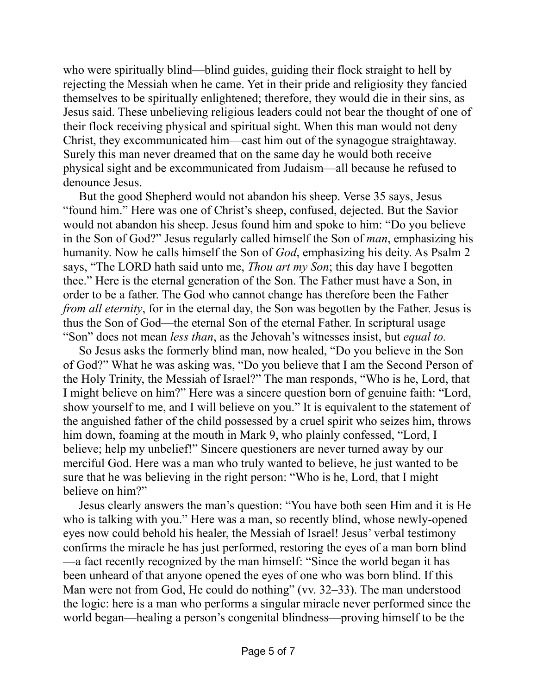who were spiritually blind—blind guides, guiding their flock straight to hell by rejecting the Messiah when he came. Yet in their pride and religiosity they fancied themselves to be spiritually enlightened; therefore, they would die in their sins, as Jesus said. These unbelieving religious leaders could not bear the thought of one of their flock receiving physical and spiritual sight. When this man would not deny Christ, they excommunicated him—cast him out of the synagogue straightaway. Surely this man never dreamed that on the same day he would both receive physical sight and be excommunicated from Judaism—all because he refused to denounce Jesus.

But the good Shepherd would not abandon his sheep. Verse 35 says, Jesus "found him." Here was one of Christ's sheep, confused, dejected. But the Savior would not abandon his sheep. Jesus found him and spoke to him: "Do you believe in the Son of God?" Jesus regularly called himself the Son of *man*, emphasizing his humanity. Now he calls himself the Son of *God*, emphasizing his deity. As Psalm 2 says, "The LORD hath said unto me, *Thou art my Son*; this day have I begotten thee." Here is the eternal generation of the Son. The Father must have a Son, in order to be a father. The God who cannot change has therefore been the Father *from all eternity*, for in the eternal day, the Son was begotten by the Father. Jesus is thus the Son of God—the eternal Son of the eternal Father. In scriptural usage "Son" does not mean *less than*, as the Jehovah's witnesses insist, but *equal to.*

So Jesus asks the formerly blind man, now healed, "Do you believe in the Son of God?" What he was asking was, "Do you believe that I am the Second Person of the Holy Trinity, the Messiah of Israel?" The man responds, "Who is he, Lord, that I might believe on him?" Here was a sincere question born of genuine faith: "Lord, show yourself to me, and I will believe on you." It is equivalent to the statement of the anguished father of the child possessed by a cruel spirit who seizes him, throws him down, foaming at the mouth in Mark 9, who plainly confessed, "Lord, I believe; help my unbelief!" Sincere questioners are never turned away by our merciful God. Here was a man who truly wanted to believe, he just wanted to be sure that he was believing in the right person: "Who is he, Lord, that I might believe on him?"

Jesus clearly answers the man's question: "You have both seen Him and it is He who is talking with you." Here was a man, so recently blind, whose newly-opened eyes now could behold his healer, the Messiah of Israel! Jesus' verbal testimony confirms the miracle he has just performed, restoring the eyes of a man born blind —a fact recently recognized by the man himself: "Since the world began it has been unheard of that anyone opened the eyes of one who was born blind. If this Man were not from God, He could do nothing" (vv. 32–33). The man understood the logic: here is a man who performs a singular miracle never performed since the world began—healing a person's congenital blindness—proving himself to be the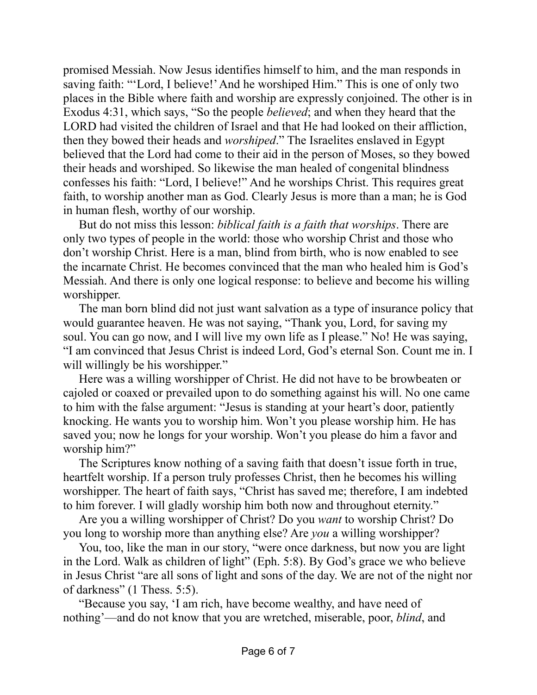promised Messiah. Now Jesus identifies himself to him, and the man responds in saving faith: "'Lord, I believe!' And he worshiped Him." This is one of only two places in the Bible where faith and worship are expressly conjoined. The other is in Exodus 4:31, which says, "So the people *believed*; and when they heard that the LORD had visited the children of Israel and that He had looked on their affliction, then they bowed their heads and *worshiped*." The Israelites enslaved in Egypt believed that the Lord had come to their aid in the person of Moses, so they bowed their heads and worshiped. So likewise the man healed of congenital blindness confesses his faith: "Lord, I believe!" And he worships Christ. This requires great faith, to worship another man as God. Clearly Jesus is more than a man; he is God in human flesh, worthy of our worship.

But do not miss this lesson: *biblical faith is a faith that worships*. There are only two types of people in the world: those who worship Christ and those who don't worship Christ. Here is a man, blind from birth, who is now enabled to see the incarnate Christ. He becomes convinced that the man who healed him is God's Messiah. And there is only one logical response: to believe and become his willing worshipper.

The man born blind did not just want salvation as a type of insurance policy that would guarantee heaven. He was not saying, "Thank you, Lord, for saving my soul. You can go now, and I will live my own life as I please." No! He was saying, "I am convinced that Jesus Christ is indeed Lord, God's eternal Son. Count me in. I will willingly be his worshipper."

Here was a willing worshipper of Christ. He did not have to be browbeaten or cajoled or coaxed or prevailed upon to do something against his will. No one came to him with the false argument: "Jesus is standing at your heart's door, patiently knocking. He wants you to worship him. Won't you please worship him. He has saved you; now he longs for your worship. Won't you please do him a favor and worship him?"

The Scriptures know nothing of a saving faith that doesn't issue forth in true, heartfelt worship. If a person truly professes Christ, then he becomes his willing worshipper. The heart of faith says, "Christ has saved me; therefore, I am indebted to him forever. I will gladly worship him both now and throughout eternity."

Are you a willing worshipper of Christ? Do you *want* to worship Christ? Do you long to worship more than anything else? Are *you* a willing worshipper?

You, too, like the man in our story, "were once darkness, but now you are light in the Lord. Walk as children of light" (Eph. 5:8). By God's grace we who believe in Jesus Christ "are all sons of light and sons of the day. We are not of the night nor of darkness" (1 Thess. 5:5).

"Because you say, 'I am rich, have become wealthy, and have need of nothing'—and do not know that you are wretched, miserable, poor, *blind*, and